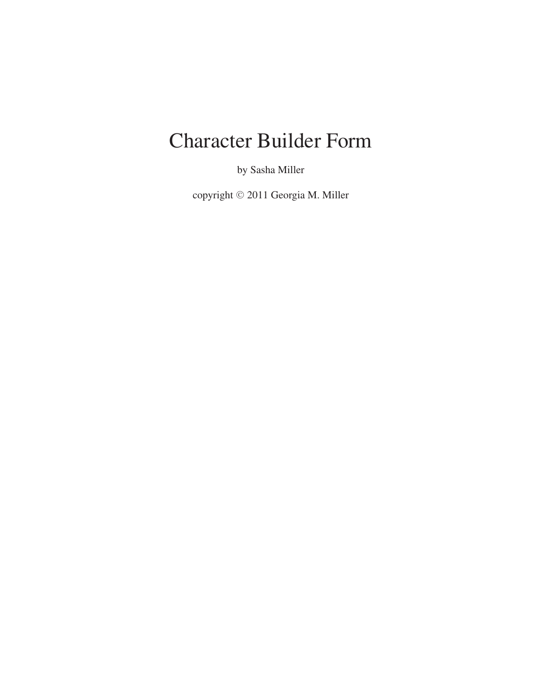# Character Builder Form

by Sasha Miller

copyright © 2011 Georgia M. Miller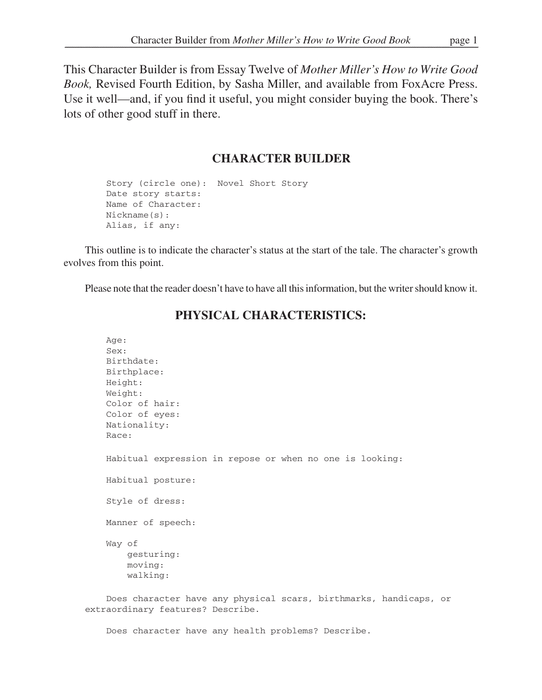This Character Builder is from Essay Twelve of *Mother Miller's How to Write Good Book,* Revised Fourth Edition, by Sasha Miller, and available from FoxAcre Press. Use it well—and, if you find it useful, you might consider buying the book. There's lots of other good stuff in there.

## **CHARACTER BUILDER**

```
Story (circle one): Novel Short Story
Date story starts:
Name of Character:
Nickname(s):
Alias, if any:
```
This outline is to indicate the character's status at the start of the tale. The character's growth evolves from this point.

Please note that the reader doesn't have to have all this information, but the writer should know it.

# Age: Sex: Birthdate: Birthplace: Height: Weight: Color of hair: Color of eyes: Nationality: Race: Habitual expression in repose or when no one is looking: Habitual posture: Style of dress: Manner of speech: Way of gesturing: moving: walking:

## **PHYSICAL CHARACTERISTICS:**

Does character have any physical scars, birthmarks, handicaps, or extraordinary features? Describe.

Does character have any health problems? Describe.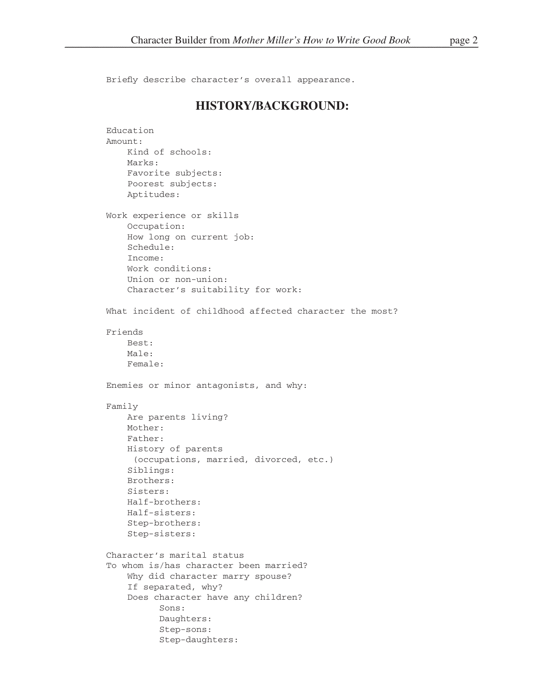Briefly describe character's overall appearance.

#### **HISTORY/BACKGROUND:**

```
Education
Amount:
    Kind of schools:
    Marks:
    Favorite subjects:
    Poorest subjects:
    Aptitudes:
Work experience or skills
    Occupation:
    How long on current job:
    Schedule:
    Income:
    Work conditions:
    Union or non-union:
    Character's suitability for work:
What incident of childhood affected character the most?
Friends
    Best:
    Male:
    Female:
Enemies or minor antagonists, and why:
Family
    Are parents living?
   Mother:
    Father:
    History of parents
      (occupations, married, divorced, etc.)
    Siblings:
    Brothers:
    Sisters:
    Half-brothers:
    Half-sisters:
    Step-brothers:
    Step-sisters:
Character's marital status
To whom is/has character been married?
    Why did character marry spouse?
    If separated, why?
    Does character have any children?
           Sons:
           Daughters:
           Step-sons:
           Step-daughters:
```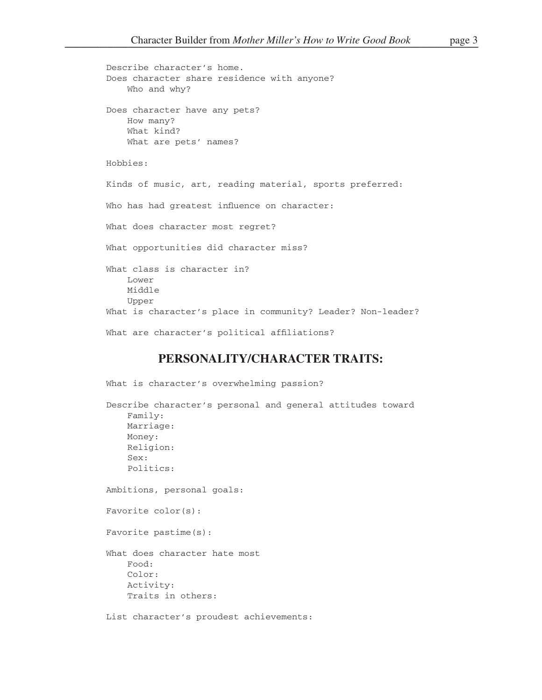```
Describe character's home.
Does character share residence with anyone?
    Who and why?
Does character have any pets?
    How many?
    What kind?
    What are pets' names?
Hobbies:
Kinds of music, art, reading material, sports preferred:
Who has had greatest influence on character:
What does character most regret?
What opportunities did character miss?
What class is character in?
    Lower
    Middle
    Upper
What is character's place in community? Leader? Non-leader?
What are character's political affiliations?
```
### **PERSONALITY/CHARACTER TRAITS:**

```
What is character's overwhelming passion?
Describe character's personal and general attitudes toward
    Family:
   Marriage:
   Money:
    Religion:
    Sex:
    Politics:
Ambitions, personal goals:
Favorite color(s):
Favorite pastime(s):
What does character hate most
    Food:
    Color:
    Activity:
    Traits in others:
List character's proudest achievements:
```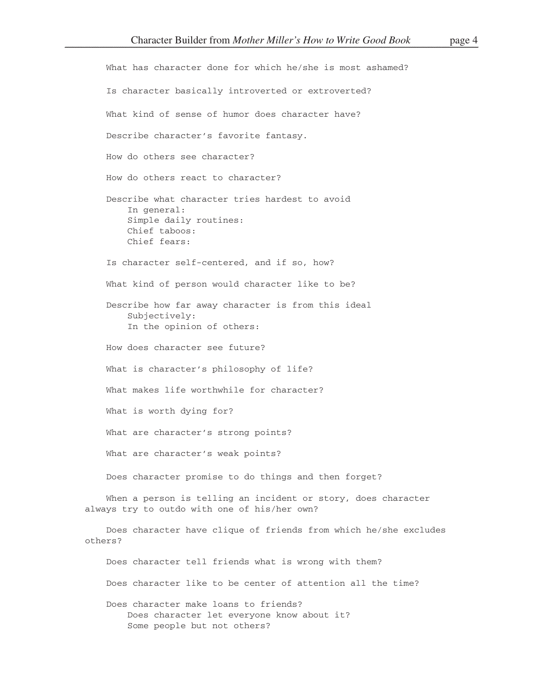What has character done for which he/she is most ashamed? Is character basically introverted or extroverted? What kind of sense of humor does character have? Describe character's favorite fantasy. How do others see character? How do others react to character? Describe what character tries hardest to avoid In general: Simple daily routines: Chief taboos: Chief fears: Is character self-centered, and if so, how? What kind of person would character like to be? Describe how far away character is from this ideal Subjectively: In the opinion of others: How does character see future? What is character's philosophy of life? What makes life worthwhile for character? What is worth dying for? What are character's strong points? What are character's weak points? Does character promise to do things and then forget? When a person is telling an incident or story, does character always try to outdo with one of his/her own? Does character have clique of friends from which he/she excludes others? Does character tell friends what is wrong with them? Does character like to be center of attention all the time? Does character make loans to friends? Does character let everyone know about it?

Some people but not others?